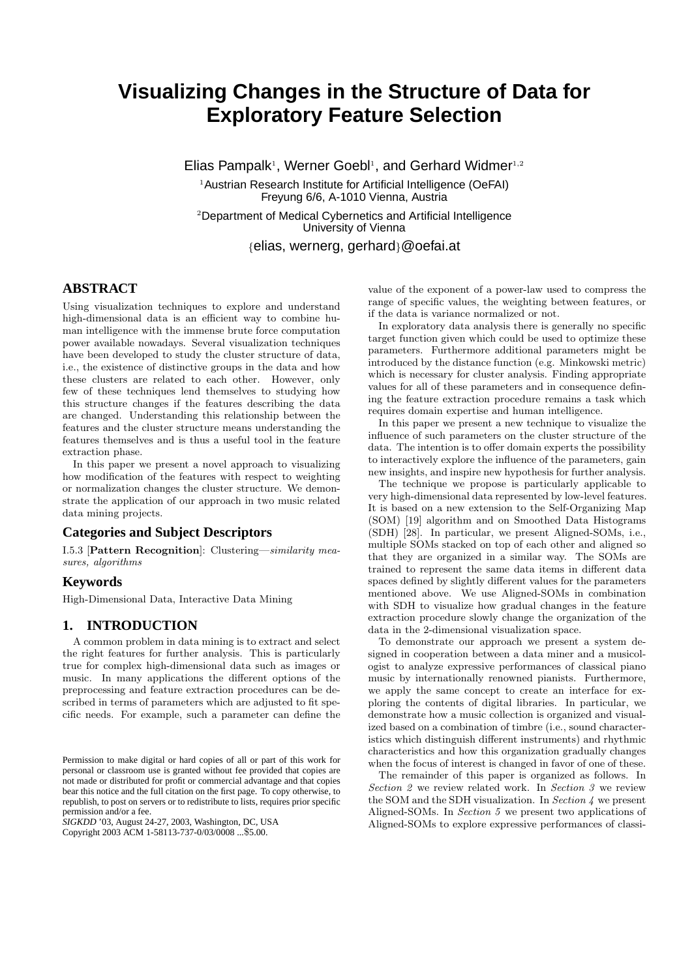# **Visualizing Changes in the Structure of Data for Exploratory Feature Selection**

Elias Pampalk<sup>1</sup>, Werner Goebl<sup>1</sup>, and Gerhard Widmer<sup>1,2</sup>

<sup>1</sup> Austrian Research Institute for Artificial Intelligence (OeFAI) Freyung 6/6, A-1010 Vienna, Austria

<sup>2</sup>Department of Medical Cybernetics and Artificial Intelligence University of Vienna

{elias, wernerg, gerhard}@oefai.at

# **ABSTRACT**

Using visualization techniques to explore and understand high-dimensional data is an efficient way to combine human intelligence with the immense brute force computation power available nowadays. Several visualization techniques have been developed to study the cluster structure of data, i.e., the existence of distinctive groups in the data and how these clusters are related to each other. However, only few of these techniques lend themselves to studying how this structure changes if the features describing the data are changed. Understanding this relationship between the features and the cluster structure means understanding the features themselves and is thus a useful tool in the feature extraction phase.

In this paper we present a novel approach to visualizing how modification of the features with respect to weighting or normalization changes the cluster structure. We demonstrate the application of our approach in two music related data mining projects.

# **Categories and Subject Descriptors**

I.5.3 [Pattern Recognition]: Clustering—similarity measures, algorithms

## **Keywords**

High-Dimensional Data, Interactive Data Mining

### **1. INTRODUCTION**

A common problem in data mining is to extract and select the right features for further analysis. This is particularly true for complex high-dimensional data such as images or music. In many applications the different options of the preprocessing and feature extraction procedures can be described in terms of parameters which are adjusted to fit specific needs. For example, such a parameter can define the

*SIGKDD* '03, August 24-27, 2003, Washington, DC, USA Copyright 2003 ACM 1-58113-737-0/03/0008 ...\$5.00.

value of the exponent of a power-law used to compress the range of specific values, the weighting between features, or if the data is variance normalized or not.

In exploratory data analysis there is generally no specific target function given which could be used to optimize these parameters. Furthermore additional parameters might be introduced by the distance function (e.g. Minkowski metric) which is necessary for cluster analysis. Finding appropriate values for all of these parameters and in consequence defining the feature extraction procedure remains a task which requires domain expertise and human intelligence.

In this paper we present a new technique to visualize the influence of such parameters on the cluster structure of the data. The intention is to offer domain experts the possibility to interactively explore the influence of the parameters, gain new insights, and inspire new hypothesis for further analysis.

The technique we propose is particularly applicable to very high-dimensional data represented by low-level features. It is based on a new extension to the Self-Organizing Map (SOM) [19] algorithm and on Smoothed Data Histograms (SDH) [28]. In particular, we present Aligned-SOMs, i.e., multiple SOMs stacked on top of each other and aligned so that they are organized in a similar way. The SOMs are trained to represent the same data items in different data spaces defined by slightly different values for the parameters mentioned above. We use Aligned-SOMs in combination with SDH to visualize how gradual changes in the feature extraction procedure slowly change the organization of the data in the 2-dimensional visualization space.

To demonstrate our approach we present a system designed in cooperation between a data miner and a musicologist to analyze expressive performances of classical piano music by internationally renowned pianists. Furthermore, we apply the same concept to create an interface for exploring the contents of digital libraries. In particular, we demonstrate how a music collection is organized and visualized based on a combination of timbre (i.e., sound characteristics which distinguish different instruments) and rhythmic characteristics and how this organization gradually changes when the focus of interest is changed in favor of one of these.

The remainder of this paper is organized as follows. In Section 2 we review related work. In Section 3 we review the SOM and the SDH visualization. In Section 4 we present Aligned-SOMs. In Section 5 we present two applications of Aligned-SOMs to explore expressive performances of classi-

Permission to make digital or hard copies of all or part of this work for personal or classroom use is granted without fee provided that copies are not made or distributed for profit or commercial advantage and that copies bear this notice and the full citation on the first page. To copy otherwise, to republish, to post on servers or to redistribute to lists, requires prior specific permission and/or a fee.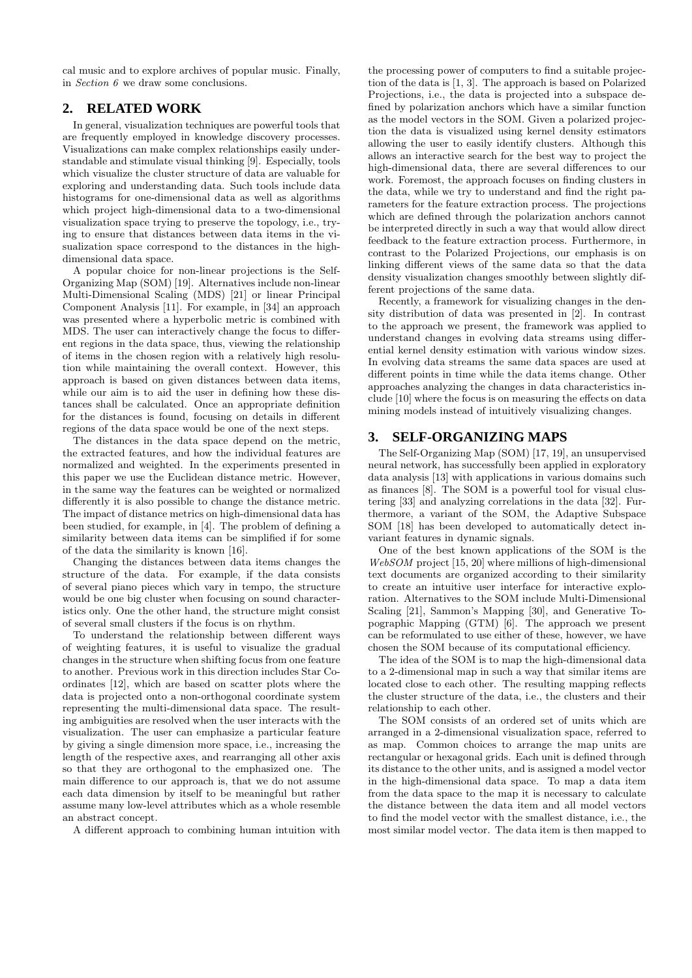cal music and to explore archives of popular music. Finally, in Section 6 we draw some conclusions.

# **2. RELATED WORK**

In general, visualization techniques are powerful tools that are frequently employed in knowledge discovery processes. Visualizations can make complex relationships easily understandable and stimulate visual thinking [9]. Especially, tools which visualize the cluster structure of data are valuable for exploring and understanding data. Such tools include data histograms for one-dimensional data as well as algorithms which project high-dimensional data to a two-dimensional visualization space trying to preserve the topology, i.e., trying to ensure that distances between data items in the visualization space correspond to the distances in the highdimensional data space.

A popular choice for non-linear projections is the Self-Organizing Map (SOM) [19]. Alternatives include non-linear Multi-Dimensional Scaling (MDS) [21] or linear Principal Component Analysis [11]. For example, in [34] an approach was presented where a hyperbolic metric is combined with MDS. The user can interactively change the focus to different regions in the data space, thus, viewing the relationship of items in the chosen region with a relatively high resolution while maintaining the overall context. However, this approach is based on given distances between data items, while our aim is to aid the user in defining how these distances shall be calculated. Once an appropriate definition for the distances is found, focusing on details in different regions of the data space would be one of the next steps.

The distances in the data space depend on the metric, the extracted features, and how the individual features are normalized and weighted. In the experiments presented in this paper we use the Euclidean distance metric. However, in the same way the features can be weighted or normalized differently it is also possible to change the distance metric. The impact of distance metrics on high-dimensional data has been studied, for example, in [4]. The problem of defining a similarity between data items can be simplified if for some of the data the similarity is known [16].

Changing the distances between data items changes the structure of the data. For example, if the data consists of several piano pieces which vary in tempo, the structure would be one big cluster when focusing on sound characteristics only. One the other hand, the structure might consist of several small clusters if the focus is on rhythm.

To understand the relationship between different ways of weighting features, it is useful to visualize the gradual changes in the structure when shifting focus from one feature to another. Previous work in this direction includes Star Coordinates [12], which are based on scatter plots where the data is projected onto a non-orthogonal coordinate system representing the multi-dimensional data space. The resulting ambiguities are resolved when the user interacts with the visualization. The user can emphasize a particular feature by giving a single dimension more space, i.e., increasing the length of the respective axes, and rearranging all other axis so that they are orthogonal to the emphasized one. The main difference to our approach is, that we do not assume each data dimension by itself to be meaningful but rather assume many low-level attributes which as a whole resemble an abstract concept.

A different approach to combining human intuition with

the processing power of computers to find a suitable projection of the data is [1, 3]. The approach is based on Polarized Projections, i.e., the data is projected into a subspace defined by polarization anchors which have a similar function as the model vectors in the SOM. Given a polarized projection the data is visualized using kernel density estimators allowing the user to easily identify clusters. Although this allows an interactive search for the best way to project the high-dimensional data, there are several differences to our work. Foremost, the approach focuses on finding clusters in the data, while we try to understand and find the right parameters for the feature extraction process. The projections which are defined through the polarization anchors cannot be interpreted directly in such a way that would allow direct feedback to the feature extraction process. Furthermore, in contrast to the Polarized Projections, our emphasis is on linking different views of the same data so that the data density visualization changes smoothly between slightly different projections of the same data.

Recently, a framework for visualizing changes in the density distribution of data was presented in [2]. In contrast to the approach we present, the framework was applied to understand changes in evolving data streams using differential kernel density estimation with various window sizes. In evolving data streams the same data spaces are used at different points in time while the data items change. Other approaches analyzing the changes in data characteristics include [10] where the focus is on measuring the effects on data mining models instead of intuitively visualizing changes.

## **3. SELF-ORGANIZING MAPS**

The Self-Organizing Map (SOM) [17, 19], an unsupervised neural network, has successfully been applied in exploratory data analysis [13] with applications in various domains such as finances [8]. The SOM is a powerful tool for visual clustering [33] and analyzing correlations in the data [32]. Furthermore, a variant of the SOM, the Adaptive Subspace SOM [18] has been developed to automatically detect invariant features in dynamic signals.

One of the best known applications of the SOM is the WebSOM project [15, 20] where millions of high-dimensional text documents are organized according to their similarity to create an intuitive user interface for interactive exploration. Alternatives to the SOM include Multi-Dimensional Scaling [21], Sammon's Mapping [30], and Generative Topographic Mapping (GTM) [6]. The approach we present can be reformulated to use either of these, however, we have chosen the SOM because of its computational efficiency.

The idea of the SOM is to map the high-dimensional data to a 2-dimensional map in such a way that similar items are located close to each other. The resulting mapping reflects the cluster structure of the data, i.e., the clusters and their relationship to each other.

The SOM consists of an ordered set of units which are arranged in a 2-dimensional visualization space, referred to as map. Common choices to arrange the map units are rectangular or hexagonal grids. Each unit is defined through its distance to the other units, and is assigned a model vector in the high-dimensional data space. To map a data item from the data space to the map it is necessary to calculate the distance between the data item and all model vectors to find the model vector with the smallest distance, i.e., the most similar model vector. The data item is then mapped to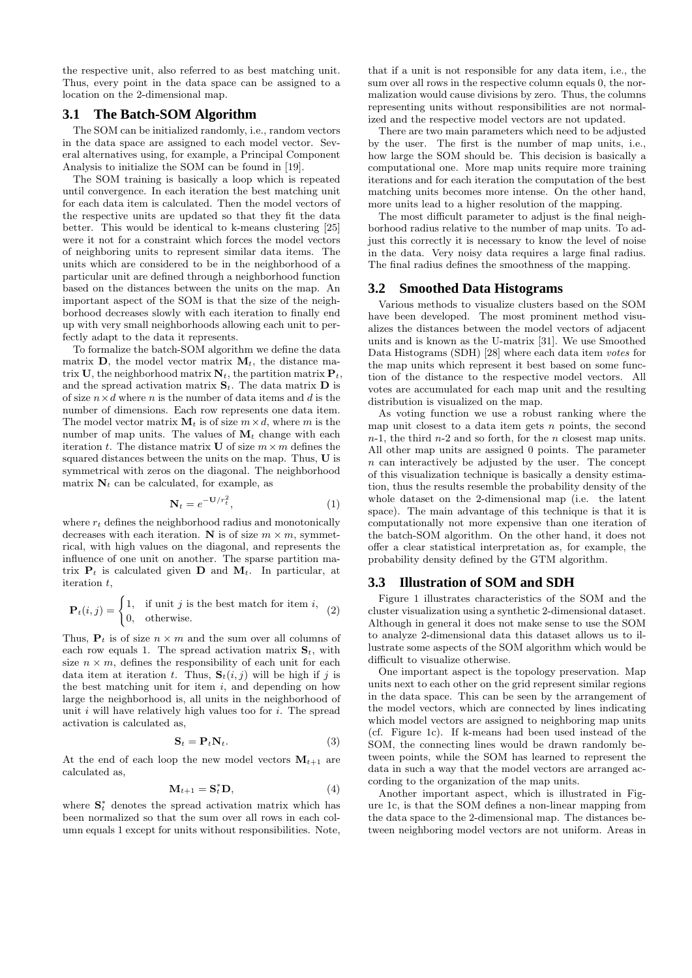the respective unit, also referred to as best matching unit. Thus, every point in the data space can be assigned to a location on the 2-dimensional map.

## **3.1 The Batch-SOM Algorithm**

The SOM can be initialized randomly, i.e., random vectors in the data space are assigned to each model vector. Several alternatives using, for example, a Principal Component Analysis to initialize the SOM can be found in [19].

The SOM training is basically a loop which is repeated until convergence. In each iteration the best matching unit for each data item is calculated. Then the model vectors of the respective units are updated so that they fit the data better. This would be identical to k-means clustering [25] were it not for a constraint which forces the model vectors of neighboring units to represent similar data items. The units which are considered to be in the neighborhood of a particular unit are defined through a neighborhood function based on the distances between the units on the map. An important aspect of the SOM is that the size of the neighborhood decreases slowly with each iteration to finally end up with very small neighborhoods allowing each unit to perfectly adapt to the data it represents.

To formalize the batch-SOM algorithm we define the data matrix  $\mathbf{D}$ , the model vector matrix  $\mathbf{M}_t$ , the distance matrix U, the neighborhood matrix  $N_t$ , the partition matrix  $P_t$ , and the spread activation matrix  $S_t$ . The data matrix **D** is of size  $n \times d$  where n is the number of data items and d is the number of dimensions. Each row represents one data item. The model vector matrix  $\mathbf{M}_t$  is of size  $m \times d$ , where m is the number of map units. The values of  $M_t$  change with each iteration t. The distance matrix **U** of size  $m \times m$  defines the squared distances between the units on the map. Thus, U is symmetrical with zeros on the diagonal. The neighborhood matrix  $N_t$  can be calculated, for example, as

$$
\mathbf{N}_t = e^{-\mathbf{U}/r_t^2},\tag{1}
$$

where  $r_t$  defines the neighborhood radius and monotonically decreases with each iteration. N is of size  $m \times m$ , symmetrical, with high values on the diagonal, and represents the influence of one unit on another. The sparse partition matrix  $P_t$  is calculated given **D** and  $M_t$ . In particular, at iteration t.

$$
\mathbf{P}_t(i,j) = \begin{cases} 1, & \text{if unit } j \text{ is the best match for item } i, \\ 0, & \text{otherwise.} \end{cases} \tag{2}
$$

Thus,  $P_t$  is of size  $n \times m$  and the sum over all columns of each row equals 1. The spread activation matrix  $S_t$ , with size  $n \times m$ , defines the responsibility of each unit for each data item at iteration t. Thus,  $S_t(i, j)$  will be high if j is the best matching unit for item  $i$ , and depending on how large the neighborhood is, all units in the neighborhood of unit  $i$  will have relatively high values too for  $i$ . The spread activation is calculated as,

$$
\mathbf{S}_t = \mathbf{P}_t \mathbf{N}_t. \tag{3}
$$

At the end of each loop the new model vectors  $M_{t+1}$  are calculated as,

$$
\mathbf{M}_{t+1} = \mathbf{S}_t^* \mathbf{D},\tag{4}
$$

where  $S_t^*$  denotes the spread activation matrix which has been normalized so that the sum over all rows in each column equals 1 except for units without responsibilities. Note,

that if a unit is not responsible for any data item, i.e., the sum over all rows in the respective column equals 0, the normalization would cause divisions by zero. Thus, the columns representing units without responsibilities are not normalized and the respective model vectors are not updated.

There are two main parameters which need to be adjusted by the user. The first is the number of map units, i.e., how large the SOM should be. This decision is basically a computational one. More map units require more training iterations and for each iteration the computation of the best matching units becomes more intense. On the other hand, more units lead to a higher resolution of the mapping.

The most difficult parameter to adjust is the final neighborhood radius relative to the number of map units. To adjust this correctly it is necessary to know the level of noise in the data. Very noisy data requires a large final radius. The final radius defines the smoothness of the mapping.

#### **3.2 Smoothed Data Histograms**

Various methods to visualize clusters based on the SOM have been developed. The most prominent method visualizes the distances between the model vectors of adjacent units and is known as the U-matrix [31]. We use Smoothed Data Histograms (SDH) [28] where each data item votes for the map units which represent it best based on some function of the distance to the respective model vectors. All votes are accumulated for each map unit and the resulting distribution is visualized on the map.

As voting function we use a robust ranking where the map unit closest to a data item gets  $n$  points, the second  $n-1$ , the third  $n-2$  and so forth, for the n closest map units. All other map units are assigned 0 points. The parameter  $n$  can interactively be adjusted by the user. The concept of this visualization technique is basically a density estimation, thus the results resemble the probability density of the whole dataset on the 2-dimensional map (i.e. the latent space). The main advantage of this technique is that it is computationally not more expensive than one iteration of the batch-SOM algorithm. On the other hand, it does not offer a clear statistical interpretation as, for example, the probability density defined by the GTM algorithm.

#### **3.3 Illustration of SOM and SDH**

Figure 1 illustrates characteristics of the SOM and the cluster visualization using a synthetic 2-dimensional dataset. Although in general it does not make sense to use the SOM to analyze 2-dimensional data this dataset allows us to illustrate some aspects of the SOM algorithm which would be difficult to visualize otherwise.

One important aspect is the topology preservation. Map units next to each other on the grid represent similar regions in the data space. This can be seen by the arrangement of the model vectors, which are connected by lines indicating which model vectors are assigned to neighboring map units (cf. Figure 1c). If k-means had been used instead of the SOM, the connecting lines would be drawn randomly between points, while the SOM has learned to represent the data in such a way that the model vectors are arranged according to the organization of the map units.

Another important aspect, which is illustrated in Figure 1c, is that the SOM defines a non-linear mapping from the data space to the 2-dimensional map. The distances between neighboring model vectors are not uniform. Areas in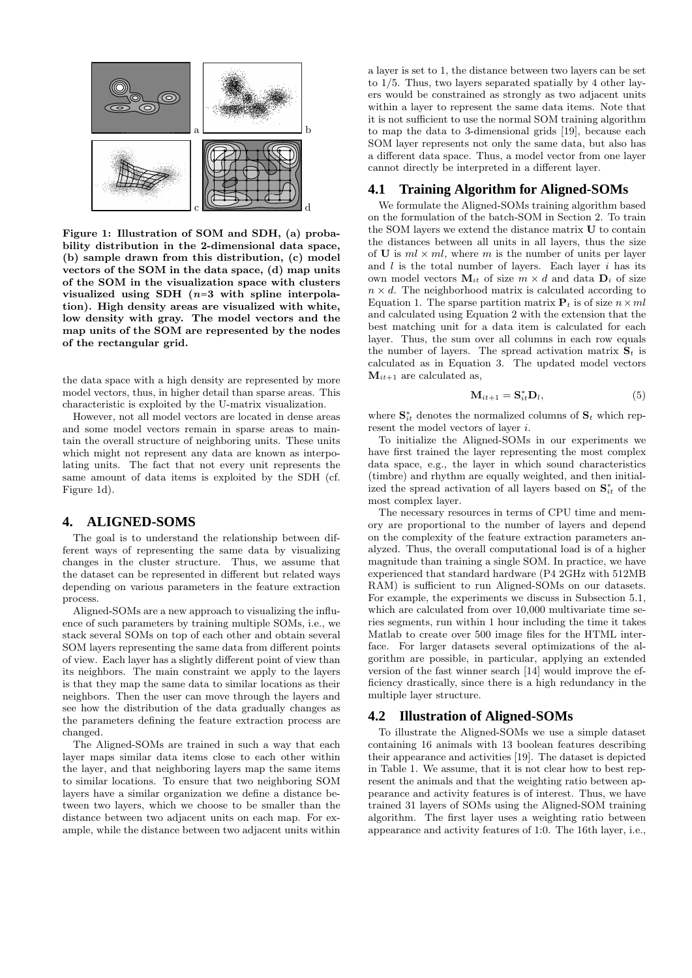

Figure 1: Illustration of SOM and SDH, (a) probability distribution in the 2-dimensional data space, (b) sample drawn from this distribution, (c) model vectors of the SOM in the data space, (d) map units of the SOM in the visualization space with clusters visualized using SDH  $(n=3$  with spline interpolation). High density areas are visualized with white, low density with gray. The model vectors and the map units of the SOM are represented by the nodes of the rectangular grid.

the data space with a high density are represented by more model vectors, thus, in higher detail than sparse areas. This characteristic is exploited by the U-matrix visualization.

However, not all model vectors are located in dense areas and some model vectors remain in sparse areas to maintain the overall structure of neighboring units. These units which might not represent any data are known as interpolating units. The fact that not every unit represents the same amount of data items is exploited by the SDH (cf. Figure 1d).

#### **4. ALIGNED-SOMS**

The goal is to understand the relationship between different ways of representing the same data by visualizing changes in the cluster structure. Thus, we assume that the dataset can be represented in different but related ways depending on various parameters in the feature extraction process.

Aligned-SOMs are a new approach to visualizing the influence of such parameters by training multiple SOMs, i.e., we stack several SOMs on top of each other and obtain several SOM layers representing the same data from different points of view. Each layer has a slightly different point of view than its neighbors. The main constraint we apply to the layers is that they map the same data to similar locations as their neighbors. Then the user can move through the layers and see how the distribution of the data gradually changes as the parameters defining the feature extraction process are changed.

The Aligned-SOMs are trained in such a way that each layer maps similar data items close to each other within the layer, and that neighboring layers map the same items to similar locations. To ensure that two neighboring SOM layers have a similar organization we define a distance between two layers, which we choose to be smaller than the distance between two adjacent units on each map. For example, while the distance between two adjacent units within

a layer is set to 1, the distance between two layers can be set to 1/5. Thus, two layers separated spatially by 4 other layers would be constrained as strongly as two adjacent units within a layer to represent the same data items. Note that it is not sufficient to use the normal SOM training algorithm to map the data to 3-dimensional grids [19], because each SOM layer represents not only the same data, but also has a different data space. Thus, a model vector from one layer cannot directly be interpreted in a different layer.

# **4.1 Training Algorithm for Aligned-SOMs**

We formulate the Aligned-SOMs training algorithm based on the formulation of the batch-SOM in Section 2. To train the SOM layers we extend the distance matrix U to contain the distances between all units in all layers, thus the size of **U** is  $ml \times ml$ , where m is the number of units per layer and  $l$  is the total number of layers. Each layer  $i$  has its own model vectors  $\mathbf{M}_{it}$  of size  $m \times d$  and data  $\mathbf{D}_i$  of size  $n \times d$ . The neighborhood matrix is calculated according to Equation 1. The sparse partition matrix  $P_t$  is of size  $n \times ml$ and calculated using Equation 2 with the extension that the best matching unit for a data item is calculated for each layer. Thus, the sum over all columns in each row equals the number of layers. The spread activation matrix  $S_t$  is calculated as in Equation 3. The updated model vectors  $M_{it+1}$  are calculated as,

$$
\mathbf{M}_{it+1} = \mathbf{S}_{it}^* \mathbf{D}_l,\tag{5}
$$

where  $\mathbf{S}_{it}^*$  denotes the normalized columns of  $\mathbf{S}_t$  which represent the model vectors of layer i.

To initialize the Aligned-SOMs in our experiments we have first trained the layer representing the most complex data space, e.g., the layer in which sound characteristics (timbre) and rhythm are equally weighted, and then initialized the spread activation of all layers based on  $S_{it}^*$  of the most complex layer.

The necessary resources in terms of CPU time and memory are proportional to the number of layers and depend on the complexity of the feature extraction parameters analyzed. Thus, the overall computational load is of a higher magnitude than training a single SOM. In practice, we have experienced that standard hardware (P4 2GHz with 512MB RAM) is sufficient to run Aligned-SOMs on our datasets. For example, the experiments we discuss in Subsection 5.1, which are calculated from over 10,000 multivariate time series segments, run within 1 hour including the time it takes Matlab to create over 500 image files for the HTML interface. For larger datasets several optimizations of the algorithm are possible, in particular, applying an extended version of the fast winner search [14] would improve the efficiency drastically, since there is a high redundancy in the multiple layer structure.

#### **4.2 Illustration of Aligned-SOMs**

To illustrate the Aligned-SOMs we use a simple dataset containing 16 animals with 13 boolean features describing their appearance and activities [19]. The dataset is depicted in Table 1. We assume, that it is not clear how to best represent the animals and that the weighting ratio between appearance and activity features is of interest. Thus, we have trained 31 layers of SOMs using the Aligned-SOM training algorithm. The first layer uses a weighting ratio between appearance and activity features of 1:0. The 16th layer, i.e.,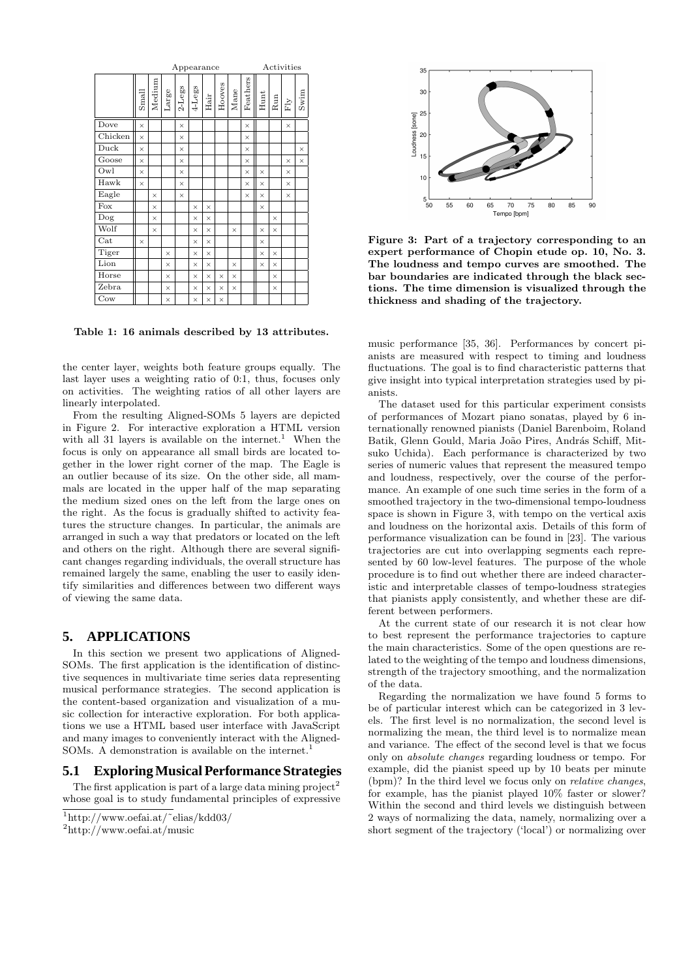|                   | Appearance |          |          |           |          |            |          | Activities |          |          |                         |          |          |
|-------------------|------------|----------|----------|-----------|----------|------------|----------|------------|----------|----------|-------------------------|----------|----------|
|                   | Small      | Medium   | Large    | $2$ -Legs | $4$ Legs | $\rm Hair$ | Hooves   | $M$ ane    | Feathers | $H$ unt  | $\mathop{\mathrm{Run}}$ | Fly      | Swim     |
| Dove              | $\times$   |          |          | $\times$  |          |            |          |            | $\times$ |          |                         | $\times$ |          |
| Chicken           | $\times$   |          |          | $\times$  |          |            |          |            | $\times$ |          |                         |          |          |
| Duck              | $\times$   |          |          | $\times$  |          |            |          |            | $\times$ |          |                         |          | $\times$ |
| Goose             | $\times$   |          |          | $\times$  |          |            |          |            | $\times$ |          |                         | $\times$ | $\times$ |
| Owl               | $\times$   |          |          | $\times$  |          |            |          |            | $\times$ | $\times$ |                         | $\times$ |          |
| Hawk              | $\times$   |          |          | $\times$  |          |            |          |            | $\times$ | $\times$ |                         | $\times$ |          |
| Eagle             |            | $\times$ |          | $\times$  |          |            |          |            | $\times$ | $\times$ |                         | $\times$ |          |
| Fox               |            | $\times$ |          |           | $\times$ | $\times$   |          |            |          | $\times$ |                         |          |          |
| $_{\mathrm{Dog}}$ |            | $\times$ |          |           | $\times$ | $\times$   |          |            |          |          | $\times$                |          |          |
| Wolf              |            | $\times$ |          |           | $\times$ | $\times$   |          | $\times$   |          | $\times$ | $\times$                |          |          |
| Cat               | $\times$   |          |          |           | $\times$ | $\times$   |          |            |          | $\times$ |                         |          |          |
| Tiger             |            |          | $\times$ |           | $\times$ | $\times$   |          |            |          | $\times$ | $\times$                |          |          |
| Lion              |            |          | $\times$ |           | $\times$ | $\times$   |          | $\times$   |          | $\times$ | $\times$                |          |          |
| Horse             |            |          | $\times$ |           | $\times$ | $\times$   | $\times$ | $\times$   |          |          | $\times$                |          |          |
| Zebra             |            |          | $\times$ |           | $\times$ | $\times$   | $\times$ | $\times$   |          |          | $\times$                |          |          |
| $_{\text{Cow}}$   |            |          | $\times$ |           | $\times$ | $\times$   | $\times$ |            |          |          |                         |          |          |

Table 1: 16 animals described by 13 attributes.

the center layer, weights both feature groups equally. The last layer uses a weighting ratio of 0:1, thus, focuses only on activities. The weighting ratios of all other layers are linearly interpolated.

From the resulting Aligned-SOMs 5 layers are depicted in Figure 2. For interactive exploration a HTML version with all 31 layers is available on the internet.<sup>1</sup> When the focus is only on appearance all small birds are located together in the lower right corner of the map. The Eagle is an outlier because of its size. On the other side, all mammals are located in the upper half of the map separating the medium sized ones on the left from the large ones on the right. As the focus is gradually shifted to activity features the structure changes. In particular, the animals are arranged in such a way that predators or located on the left and others on the right. Although there are several significant changes regarding individuals, the overall structure has remained largely the same, enabling the user to easily identify similarities and differences between two different ways of viewing the same data.

#### **5. APPLICATIONS**

In this section we present two applications of Aligned-SOMs. The first application is the identification of distinctive sequences in multivariate time series data representing musical performance strategies. The second application is the content-based organization and visualization of a music collection for interactive exploration. For both applications we use a HTML based user interface with JavaScript and many images to conveniently interact with the Aligned-SOMs. A demonstration is available on the internet.

#### **5.1 Exploring Musical Performance Strategies**

The first application is part of a large data mining  $project<sup>2</sup>$ whose goal is to study fundamental principles of expressive

<sup>2</sup>http://www.oefai.at/music



Figure 3: Part of a trajectory corresponding to an expert performance of Chopin etude op. 10, No. 3. The loudness and tempo curves are smoothed. The bar boundaries are indicated through the black sections. The time dimension is visualized through the thickness and shading of the trajectory.

music performance [35, 36]. Performances by concert pianists are measured with respect to timing and loudness fluctuations. The goal is to find characteristic patterns that give insight into typical interpretation strategies used by pianists.

The dataset used for this particular experiment consists of performances of Mozart piano sonatas, played by 6 internationally renowned pianists (Daniel Barenboim, Roland Batik, Glenn Gould, Maria João Pires, András Schiff, Mitsuko Uchida). Each performance is characterized by two series of numeric values that represent the measured tempo and loudness, respectively, over the course of the performance. An example of one such time series in the form of a smoothed trajectory in the two-dimensional tempo-loudness space is shown in Figure 3, with tempo on the vertical axis and loudness on the horizontal axis. Details of this form of performance visualization can be found in [23]. The various trajectories are cut into overlapping segments each represented by 60 low-level features. The purpose of the whole procedure is to find out whether there are indeed characteristic and interpretable classes of tempo-loudness strategies that pianists apply consistently, and whether these are different between performers.

At the current state of our research it is not clear how to best represent the performance trajectories to capture the main characteristics. Some of the open questions are related to the weighting of the tempo and loudness dimensions, strength of the trajectory smoothing, and the normalization of the data.

Regarding the normalization we have found 5 forms to be of particular interest which can be categorized in 3 levels. The first level is no normalization, the second level is normalizing the mean, the third level is to normalize mean and variance. The effect of the second level is that we focus only on absolute changes regarding loudness or tempo. For example, did the pianist speed up by 10 beats per minute (bpm)? In the third level we focus only on relative changes, for example, has the pianist played 10% faster or slower? Within the second and third levels we distinguish between 2 ways of normalizing the data, namely, normalizing over a short segment of the trajectory ('local') or normalizing over

 $1$ http://www.oefai.at/ $\epsilon$ elias/kdd03/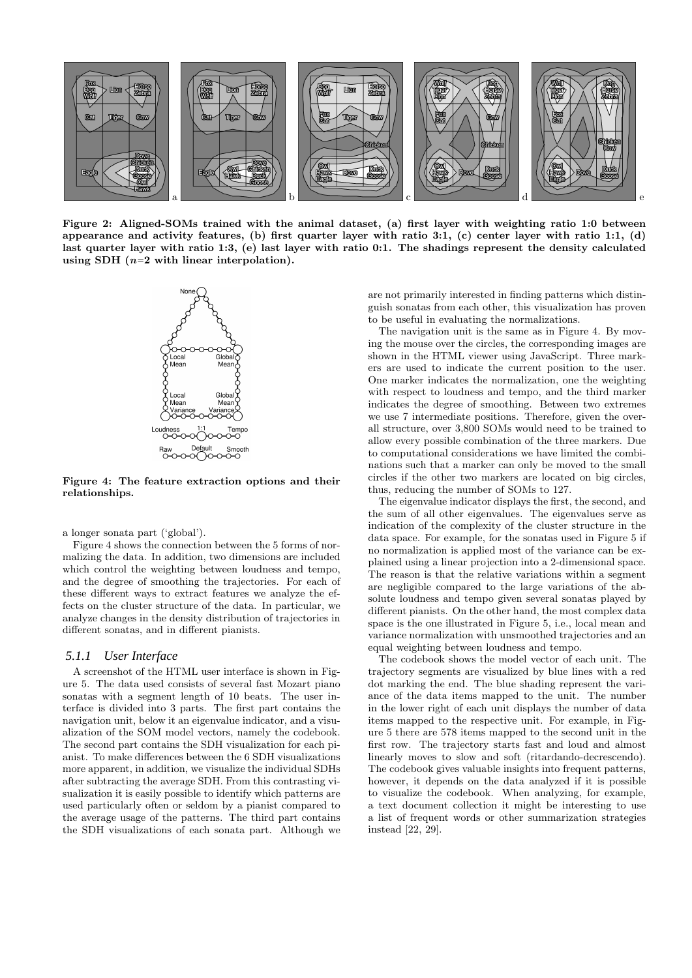

Figure 2: Aligned-SOMs trained with the animal dataset, (a) first layer with weighting ratio 1:0 between appearance and activity features, (b) first quarter layer with ratio 3:1, (c) center layer with ratio 1:1, (d) last quarter layer with ratio 1:3, (e) last layer with ratio 0:1. The shadings represent the density calculated using SDH  $(n=2$  with linear interpolation).



Figure 4: The feature extraction options and their relationships.

a longer sonata part ('global').

Figure 4 shows the connection between the 5 forms of normalizing the data. In addition, two dimensions are included which control the weighting between loudness and tempo, and the degree of smoothing the trajectories. For each of these different ways to extract features we analyze the effects on the cluster structure of the data. In particular, we analyze changes in the density distribution of trajectories in different sonatas, and in different pianists.

#### *5.1.1 User Interface*

A screenshot of the HTML user interface is shown in Figure 5. The data used consists of several fast Mozart piano sonatas with a segment length of 10 beats. The user interface is divided into 3 parts. The first part contains the navigation unit, below it an eigenvalue indicator, and a visualization of the SOM model vectors, namely the codebook. The second part contains the SDH visualization for each pianist. To make differences between the 6 SDH visualizations more apparent, in addition, we visualize the individual SDHs after subtracting the average SDH. From this contrasting visualization it is easily possible to identify which patterns are used particularly often or seldom by a pianist compared to the average usage of the patterns. The third part contains the SDH visualizations of each sonata part. Although we are not primarily interested in finding patterns which distinguish sonatas from each other, this visualization has proven to be useful in evaluating the normalizations.

The navigation unit is the same as in Figure 4. By moving the mouse over the circles, the corresponding images are shown in the HTML viewer using JavaScript. Three markers are used to indicate the current position to the user. One marker indicates the normalization, one the weighting with respect to loudness and tempo, and the third marker indicates the degree of smoothing. Between two extremes we use 7 intermediate positions. Therefore, given the overall structure, over 3,800 SOMs would need to be trained to allow every possible combination of the three markers. Due to computational considerations we have limited the combinations such that a marker can only be moved to the small circles if the other two markers are located on big circles, thus, reducing the number of SOMs to 127.

The eigenvalue indicator displays the first, the second, and the sum of all other eigenvalues. The eigenvalues serve as indication of the complexity of the cluster structure in the data space. For example, for the sonatas used in Figure 5 if no normalization is applied most of the variance can be explained using a linear projection into a 2-dimensional space. The reason is that the relative variations within a segment are negligible compared to the large variations of the absolute loudness and tempo given several sonatas played by different pianists. On the other hand, the most complex data space is the one illustrated in Figure 5, i.e., local mean and variance normalization with unsmoothed trajectories and an equal weighting between loudness and tempo.

The codebook shows the model vector of each unit. The trajectory segments are visualized by blue lines with a red dot marking the end. The blue shading represent the variance of the data items mapped to the unit. The number in the lower right of each unit displays the number of data items mapped to the respective unit. For example, in Figure 5 there are 578 items mapped to the second unit in the first row. The trajectory starts fast and loud and almost linearly moves to slow and soft (ritardando-decrescendo). The codebook gives valuable insights into frequent patterns, however, it depends on the data analyzed if it is possible to visualize the codebook. When analyzing, for example, a text document collection it might be interesting to use a list of frequent words or other summarization strategies instead [22, 29].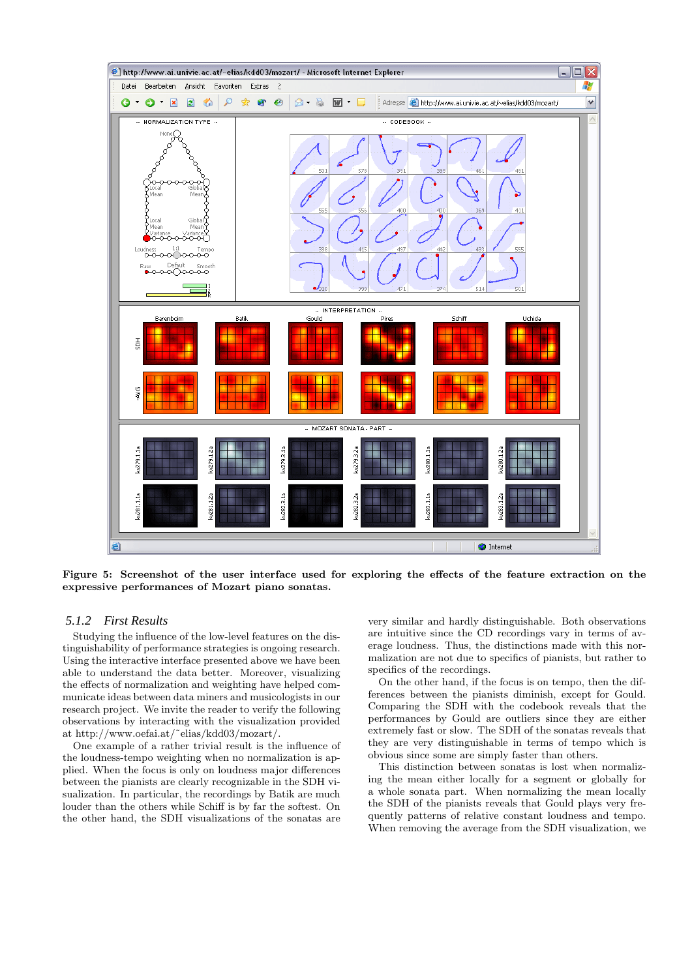

Figure 5: Screenshot of the user interface used for exploring the effects of the feature extraction on the expressive performances of Mozart piano sonatas.

### *5.1.2 First Results*

Studying the influence of the low-level features on the distinguishability of performance strategies is ongoing research. Using the interactive interface presented above we have been able to understand the data better. Moreover, visualizing the effects of normalization and weighting have helped communicate ideas between data miners and musicologists in our research project. We invite the reader to verify the following observations by interacting with the visualization provided at http://www.oefai.at/˜elias/kdd03/mozart/.

One example of a rather trivial result is the influence of the loudness-tempo weighting when no normalization is applied. When the focus is only on loudness major differences between the pianists are clearly recognizable in the SDH visualization. In particular, the recordings by Batik are much louder than the others while Schiff is by far the softest. On the other hand, the SDH visualizations of the sonatas are very similar and hardly distinguishable. Both observations are intuitive since the CD recordings vary in terms of average loudness. Thus, the distinctions made with this normalization are not due to specifics of pianists, but rather to specifics of the recordings.

On the other hand, if the focus is on tempo, then the differences between the pianists diminish, except for Gould. Comparing the SDH with the codebook reveals that the performances by Gould are outliers since they are either extremely fast or slow. The SDH of the sonatas reveals that they are very distinguishable in terms of tempo which is obvious since some are simply faster than others.

This distinction between sonatas is lost when normalizing the mean either locally for a segment or globally for a whole sonata part. When normalizing the mean locally the SDH of the pianists reveals that Gould plays very frequently patterns of relative constant loudness and tempo. When removing the average from the SDH visualization, we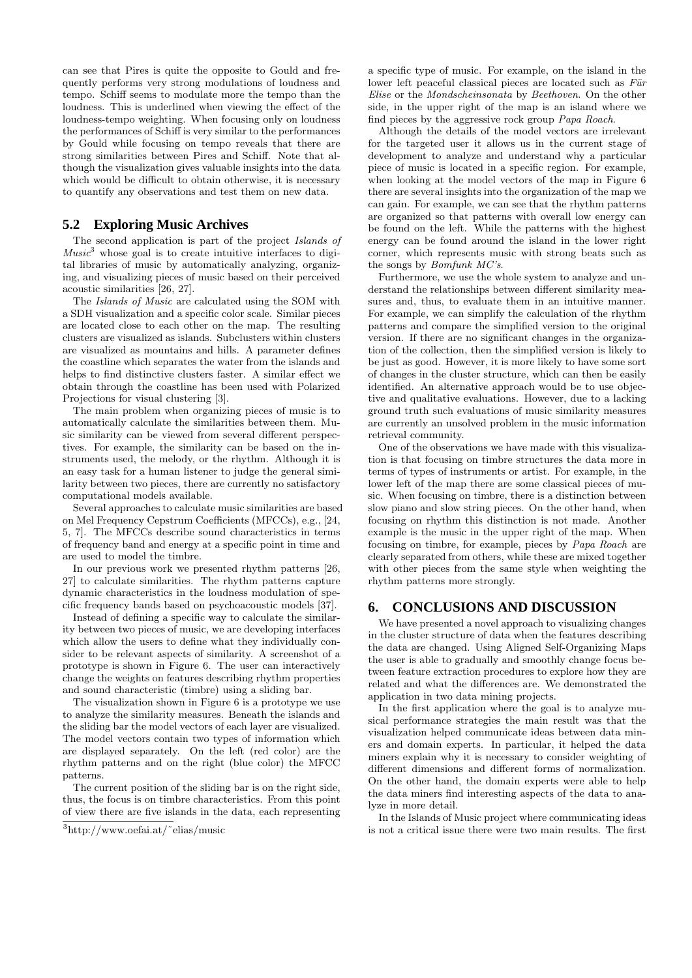can see that Pires is quite the opposite to Gould and frequently performs very strong modulations of loudness and tempo. Schiff seems to modulate more the tempo than the loudness. This is underlined when viewing the effect of the loudness-tempo weighting. When focusing only on loudness the performances of Schiff is very similar to the performances by Gould while focusing on tempo reveals that there are strong similarities between Pires and Schiff. Note that although the visualization gives valuable insights into the data which would be difficult to obtain otherwise, it is necessary to quantify any observations and test them on new data.

## **5.2 Exploring Music Archives**

The second application is part of the project *Islands* of  $Music<sup>3</sup>$  whose goal is to create intuitive interfaces to digital libraries of music by automatically analyzing, organizing, and visualizing pieces of music based on their perceived acoustic similarities [26, 27].

The Islands of Music are calculated using the SOM with a SDH visualization and a specific color scale. Similar pieces are located close to each other on the map. The resulting clusters are visualized as islands. Subclusters within clusters are visualized as mountains and hills. A parameter defines the coastline which separates the water from the islands and helps to find distinctive clusters faster. A similar effect we obtain through the coastline has been used with Polarized Projections for visual clustering [3].

The main problem when organizing pieces of music is to automatically calculate the similarities between them. Music similarity can be viewed from several different perspectives. For example, the similarity can be based on the instruments used, the melody, or the rhythm. Although it is an easy task for a human listener to judge the general similarity between two pieces, there are currently no satisfactory computational models available.

Several approaches to calculate music similarities are based on Mel Frequency Cepstrum Coefficients (MFCCs), e.g., [24, 5, 7]. The MFCCs describe sound characteristics in terms of frequency band and energy at a specific point in time and are used to model the timbre.

In our previous work we presented rhythm patterns [26, 27] to calculate similarities. The rhythm patterns capture dynamic characteristics in the loudness modulation of specific frequency bands based on psychoacoustic models [37].

Instead of defining a specific way to calculate the similarity between two pieces of music, we are developing interfaces which allow the users to define what they individually consider to be relevant aspects of similarity. A screenshot of a prototype is shown in Figure 6. The user can interactively change the weights on features describing rhythm properties and sound characteristic (timbre) using a sliding bar.

The visualization shown in Figure 6 is a prototype we use to analyze the similarity measures. Beneath the islands and the sliding bar the model vectors of each layer are visualized. The model vectors contain two types of information which are displayed separately. On the left (red color) are the rhythm patterns and on the right (blue color) the MFCC patterns.

The current position of the sliding bar is on the right side, thus, the focus is on timbre characteristics. From this point of view there are five islands in the data, each representing

a specific type of music. For example, on the island in the lower left peaceful classical pieces are located such as  $Fixi$ Elise or the Mondscheinsonata by Beethoven. On the other side, in the upper right of the map is an island where we find pieces by the aggressive rock group Papa Roach.

Although the details of the model vectors are irrelevant for the targeted user it allows us in the current stage of development to analyze and understand why a particular piece of music is located in a specific region. For example, when looking at the model vectors of the map in Figure 6 there are several insights into the organization of the map we can gain. For example, we can see that the rhythm patterns are organized so that patterns with overall low energy can be found on the left. While the patterns with the highest energy can be found around the island in the lower right corner, which represents music with strong beats such as the songs by Bomfunk MC's.

Furthermore, we use the whole system to analyze and understand the relationships between different similarity measures and, thus, to evaluate them in an intuitive manner. For example, we can simplify the calculation of the rhythm patterns and compare the simplified version to the original version. If there are no significant changes in the organization of the collection, then the simplified version is likely to be just as good. However, it is more likely to have some sort of changes in the cluster structure, which can then be easily identified. An alternative approach would be to use objective and qualitative evaluations. However, due to a lacking ground truth such evaluations of music similarity measures are currently an unsolved problem in the music information retrieval community.

One of the observations we have made with this visualization is that focusing on timbre structures the data more in terms of types of instruments or artist. For example, in the lower left of the map there are some classical pieces of music. When focusing on timbre, there is a distinction between slow piano and slow string pieces. On the other hand, when focusing on rhythm this distinction is not made. Another example is the music in the upper right of the map. When focusing on timbre, for example, pieces by Papa Roach are clearly separated from others, while these are mixed together with other pieces from the same style when weighting the rhythm patterns more strongly.

#### **6. CONCLUSIONS AND DISCUSSION**

We have presented a novel approach to visualizing changes in the cluster structure of data when the features describing the data are changed. Using Aligned Self-Organizing Maps the user is able to gradually and smoothly change focus between feature extraction procedures to explore how they are related and what the differences are. We demonstrated the application in two data mining projects.

In the first application where the goal is to analyze musical performance strategies the main result was that the visualization helped communicate ideas between data miners and domain experts. In particular, it helped the data miners explain why it is necessary to consider weighting of different dimensions and different forms of normalization. On the other hand, the domain experts were able to help the data miners find interesting aspects of the data to analyze in more detail.

In the Islands of Music project where communicating ideas is not a critical issue there were two main results. The first

 $3$ http://www.oefai.at/ $\tilde{\text{}'}$ elias/music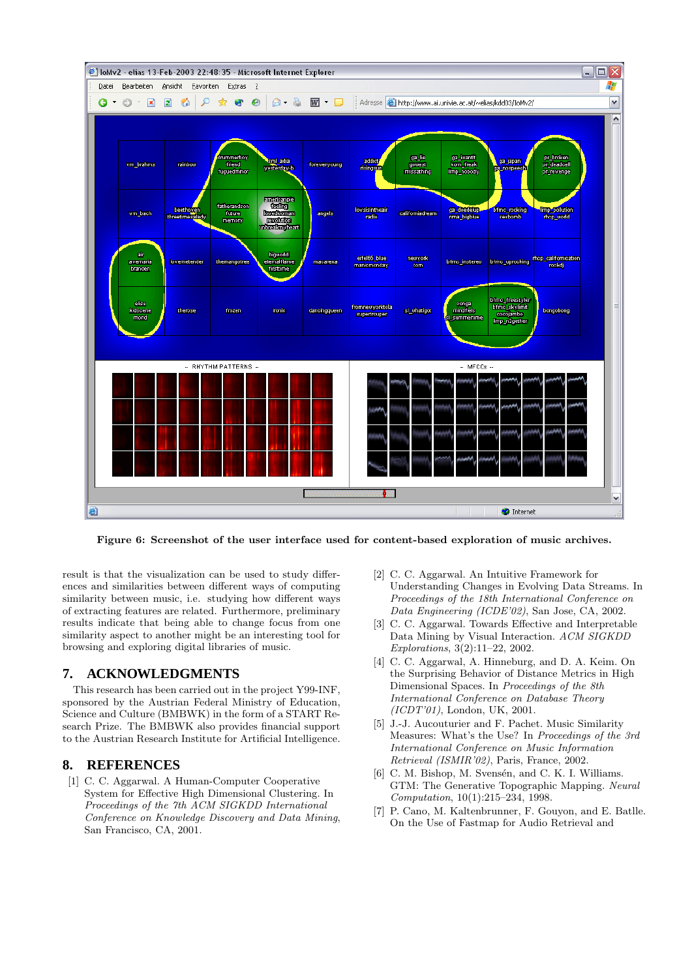

Figure 6: Screenshot of the user interface used for content-based exploration of music archives.

result is that the visualization can be used to study differences and similarities between different ways of computing similarity between music, i.e. studying how different ways of extracting features are related. Furthermore, preliminary results indicate that being able to change focus from one similarity aspect to another might be an interesting tool for browsing and exploring digital libraries of music.

# **7. ACKNOWLEDGMENTS**

This research has been carried out in the project Y99-INF, sponsored by the Austrian Federal Ministry of Education, Science and Culture (BMBWK) in the form of a START Research Prize. The BMBWK also provides financial support to the Austrian Research Institute for Artificial Intelligence.

# **8. REFERENCES**

[1] C. C. Aggarwal. A Human-Computer Cooperative System for Effective High Dimensional Clustering. In Proceedings of the 7th ACM SIGKDD International Conference on Knowledge Discovery and Data Mining, San Francisco, CA, 2001.

- [2] C. C. Aggarwal. An Intuitive Framework for Understanding Changes in Evolving Data Streams. In Proceedings of the 18th International Conference on Data Engineering (ICDE'02), San Jose, CA, 2002.
- [3] C. C. Aggarwal. Towards Effective and Interpretable Data Mining by Visual Interaction. ACM SIGKDD Explorations, 3(2):11–22, 2002.
- [4] C. C. Aggarwal, A. Hinneburg, and D. A. Keim. On the Surprising Behavior of Distance Metrics in High Dimensional Spaces. In Proceedings of the 8th International Conference on Database Theory (ICDT'01), London, UK, 2001.
- [5] J.-J. Aucouturier and F. Pachet. Music Similarity Measures: What's the Use? In Proceedings of the 3rd International Conference on Music Information Retrieval (ISMIR'02), Paris, France, 2002.
- [6] C. M. Bishop, M. Svensén, and C. K. I. Williams. GTM: The Generative Topographic Mapping. Neural Computation, 10(1):215–234, 1998.
- [7] P. Cano, M. Kaltenbrunner, F. Gouyon, and E. Batlle. On the Use of Fastmap for Audio Retrieval and